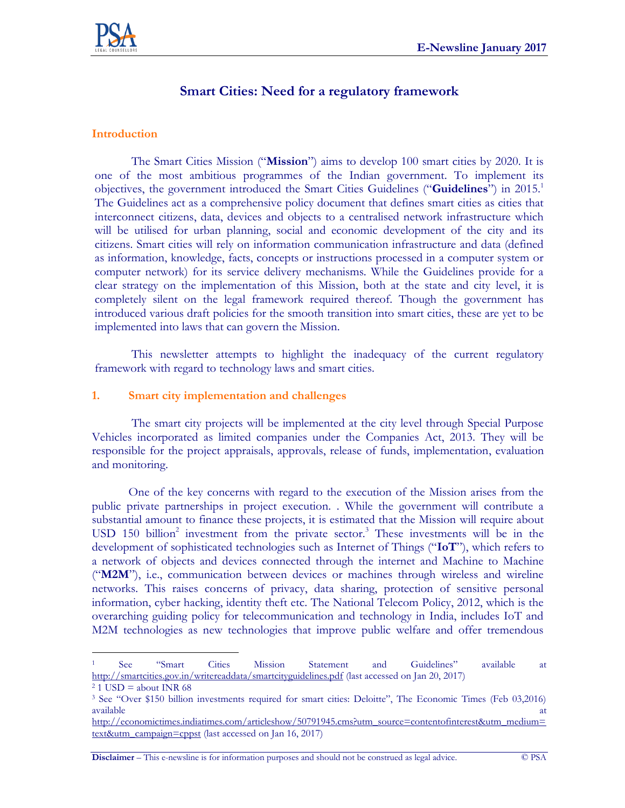

# **Smart Cities: Need for a regulatory framework**

#### **Introduction**

The Smart Cities Mission ("**Mission**") aims to develop 100 smart cities by 2020. It is one of the most ambitious programmes of the Indian government. To implement its objectives, the government introduced the Smart Cities Guidelines ("**Guidelines**") in 2015.<sup>1</sup> The Guidelines act as a comprehensive policy document that defines smart cities as cities that interconnect citizens, data, devices and objects to a centralised network infrastructure which will be utilised for urban planning, social and economic development of the city and its citizens. Smart cities will rely on information communication infrastructure and data (defined as information, knowledge, facts, concepts or instructions processed in a computer system or computer network) for its service delivery mechanisms. While the Guidelines provide for a clear strategy on the implementation of this Mission, both at the state and city level, it is completely silent on the legal framework required thereof. Though the government has introduced various draft policies for the smooth transition into smart cities, these are yet to be implemented into laws that can govern the Mission.

This newsletter attempts to highlight the inadequacy of the current regulatory framework with regard to technology laws and smart cities.

#### **1. Smart city implementation and challenges**

The smart city projects will be implemented at the city level through Special Purpose Vehicles incorporated as limited companies under the Companies Act, 2013. They will be responsible for the project appraisals, approvals, release of funds, implementation, evaluation and monitoring.

One of the key concerns with regard to the execution of the Mission arises from the public private partnerships in project execution. . While the government will contribute a substantial amount to finance these projects, it is estimated that the Mission will require about USD  $150$  billion<sup>2</sup> investment from the private sector.<sup>3</sup> These investments will be in the development of sophisticated technologies such as Internet of Things ("**IoT**"), which refers to a network of objects and devices connected through the internet and Machine to Machine ("**M2M**"), i.e., communication between devices or machines through wireless and wireline networks. This raises concerns of privacy, data sharing, protection of sensitive personal information, cyber hacking, identity theft etc. The National Telecom Policy, 2012, which is the overarching guiding policy for telecommunication and technology in India, includes IoT and M2M technologies as new technologies that improve public welfare and offer tremendous

**Disclaimer** – This e-newsline is for information purposes and should not be construed as legal advice. © PSA

 $\overline{a}$ <sup>1</sup> See "Smart Cities Mission Statement and Guidelines" available at <http://smartcities.gov.in/writereaddata/smartcityguidelines.pdf> (last accessed on Jan 20, 2017)

 $2$  1 USD = about INR 68

<sup>3</sup> See "Over \$150 billion investments required for smart cities: Deloitte", The Economic Times (Feb 03,2016) available at the contract of the contract of the contract of the contract of the contract of the contract of the contract of the contract of the contract of the contract of the contract of the contract of the contract of t

[http://economictimes.indiatimes.com/articleshow/50791945.cms?utm\\_source=contentofinterest&utm\\_medium=](http://economictimes.indiatimes.com/articleshow/50791945.cms?utm_source=contentofinterest&utm_medium=text&utm_campaign=cppst) [text&utm\\_campaign=cppst](http://economictimes.indiatimes.com/articleshow/50791945.cms?utm_source=contentofinterest&utm_medium=text&utm_campaign=cppst) (last accessed on Jan 16, 2017)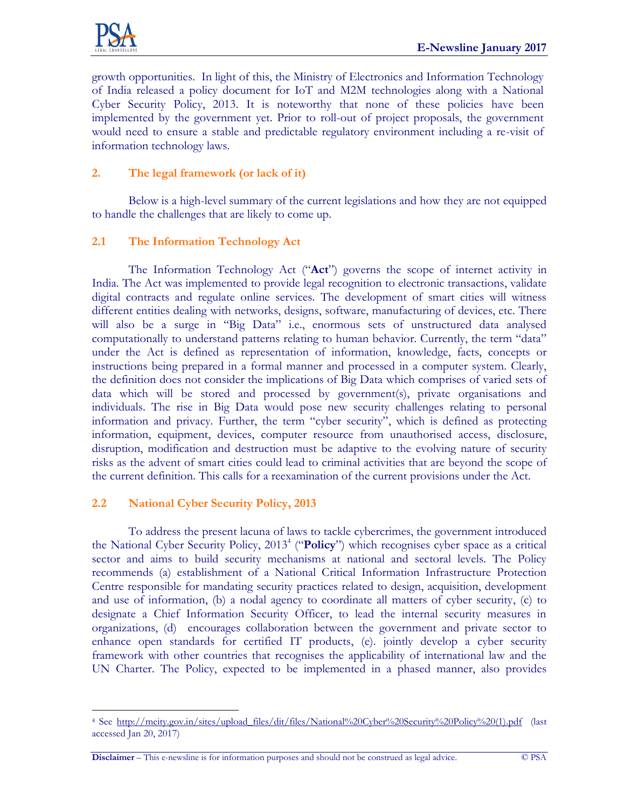

growth opportunities. In light of this, the Ministry of Electronics and Information Technology of India released a policy document for IoT and M2M technologies along with a National Cyber Security Policy, 2013. It is noteworthy that none of these policies have been implemented by the government yet. Prior to roll-out of project proposals, the government would need to ensure a stable and predictable regulatory environment including a re-visit of information technology laws.

## **2. The legal framework (or lack of it)**

Below is a high-level summary of the current legislations and how they are not equipped to handle the challenges that are likely to come up.

# **2.1 The Information Technology Act**

The Information Technology Act ("**Act**") governs the scope of internet activity in India. The Act was implemented to provide legal recognition to electronic transactions, validate digital contracts and regulate online services. The development of smart cities will witness different entities dealing with networks, designs, software, manufacturing of devices, etc. There will also be a surge in "Big Data" i.e., enormous sets of unstructured data analysed computationally to understand patterns relating to human behavior. Currently, the term "data" under the Act is defined as representation of information, knowledge, facts, concepts or instructions being prepared in a formal manner and processed in a computer system. Clearly, the definition does not consider the implications of Big Data which comprises of varied sets of data which will be stored and processed by government(s), private organisations and individuals. The rise in Big Data would pose new security challenges relating to personal information and privacy. Further, the term "cyber security", which is defined as protecting information, equipment, devices, computer resource from unauthorised access, disclosure, disruption, modification and destruction must be adaptive to the evolving nature of security risks as the advent of smart cities could lead to criminal activities that are beyond the scope of the current definition. This calls for a reexamination of the current provisions under the Act.

### **2.2 National Cyber Security Policy, 2013**

To address the present lacuna of laws to tackle cybercrimes, the government introduced the National Cyber Security Policy, 2013<sup>4</sup> ("Policy") which recognises cyber space as a critical sector and aims to build security mechanisms at national and sectoral levels. The Policy recommends (a) establishment of a National Critical Information Infrastructure Protection Centre responsible for mandating security practices related to design, acquisition, development and use of information, (b) a nodal agency to coordinate all matters of cyber security, (c) to designate a Chief Information Security Officer, to lead the internal security measures in organizations, (d) encourages collaboration between the government and private sector to enhance open standards for certified IT products, (e). jointly develop a cyber security framework with other countries that recognises the applicability of international law and the UN Charter. The Policy, expected to be implemented in a phased manner, also provides

**Disclaimer** – This e-newsline is for information purposes and should not be construed as legal advice. © PSA

 $\overline{a}$ <sup>4</sup> See [http://meity.gov.in/sites/upload\\_files/dit/files/National%20Cyber%20Security%20Policy%20\(1\).pdf](http://meity.gov.in/sites/upload_files/dit/files/National%20Cyber%20Security%20Policy%20(1).pdf) (last accessed Jan 20, 2017)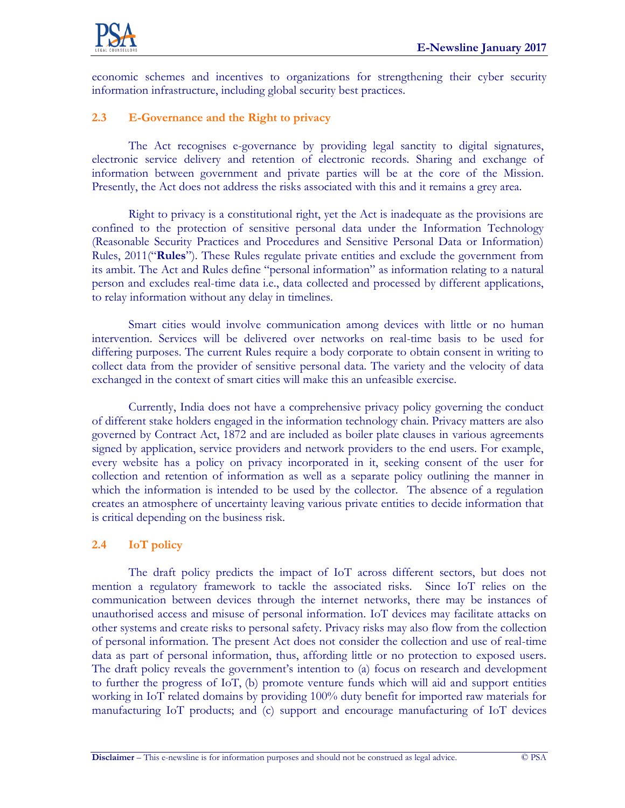

economic schemes and incentives to organizations for strengthening their cyber security information infrastructure, including global security best practices.

# **2.3 E-Governance and the Right to privacy**

The Act recognises e-governance by providing legal sanctity to digital signatures, electronic service delivery and retention of electronic records. Sharing and exchange of information between government and private parties will be at the core of the Mission. Presently, the Act does not address the risks associated with this and it remains a grey area.

Right to privacy is a constitutional right, yet the Act is inadequate as the provisions are confined to the protection of sensitive personal data under the Information Technology (Reasonable Security Practices and Procedures and Sensitive Personal Data or Information) Rules, 2011("**Rules**"). These Rules regulate private entities and exclude the government from its ambit. The Act and Rules define "personal information" as information relating to a natural person and excludes real-time data i.e., data collected and processed by different applications, to relay information without any delay in timelines.

Smart cities would involve communication among devices with little or no human intervention. Services will be delivered over networks on real-time basis to be used for differing purposes. The current Rules require a body corporate to obtain consent in writing to collect data from the provider of sensitive personal data. The variety and the velocity of data exchanged in the context of smart cities will make this an unfeasible exercise.

Currently, India does not have a comprehensive privacy policy governing the conduct of different stake holders engaged in the information technology chain. Privacy matters are also governed by Contract Act, 1872 and are included as boiler plate clauses in various agreements signed by application, service providers and network providers to the end users. For example, every website has a policy on privacy incorporated in it, seeking consent of the user for collection and retention of information as well as a separate policy outlining the manner in which the information is intended to be used by the collector. The absence of a regulation creates an atmosphere of uncertainty leaving various private entities to decide information that is critical depending on the business risk.

### **2.4 IoT policy**

The draft policy predicts the impact of IoT across different sectors, but does not mention a regulatory framework to tackle the associated risks. Since IoT relies on the communication between devices through the internet networks, there may be instances of unauthorised access and misuse of personal information. IoT devices may facilitate attacks on other systems and create risks to personal safety. Privacy risks may also flow from the collection of personal information. The present Act does not consider the collection and use of real-time data as part of personal information, thus, affording little or no protection to exposed users. The draft policy reveals the government's intention to (a) focus on research and development to further the progress of IoT, (b) promote venture funds which will aid and support entities working in IoT related domains by providing 100% duty benefit for imported raw materials for manufacturing IoT products; and (c) support and encourage manufacturing of IoT devices